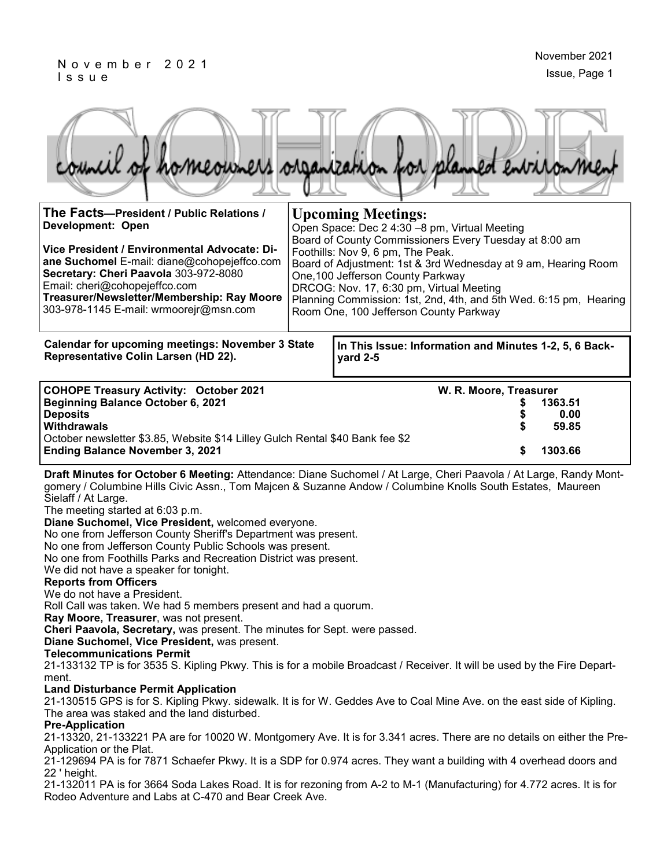### N o v e m b e r 2 0 2 1 I s s u e



| THE FACIS—President / Public Relations /<br>Development: Open<br>Vice President / Environmental Advocate: Di-<br>ane Suchomel E-mail: diane@cohopejeffco.com<br>Secretary: Cheri Paavola 303-972-8080<br>Email: cheri@cohopejeffco.com<br>Treasurer/Newsletter/Membership: Ray Moore<br>303-978-1145 E-mail: wrmoorejr@msn.com | <b>UPCOMING MEETINGS:</b><br>Open Space: Dec 2 4:30 -8 pm, Virtual Meeting<br>Board of County Commissioners Every Tuesday at 8:00 am<br>Foothills: Nov 9, 6 pm, The Peak.<br>Board of Adjustment: 1st & 3rd Wednesday at 9 am, Hearing Room<br>One, 100 Jefferson County Parkway<br>DRCOG: Nov. 17, 6:30 pm, Virtual Meeting<br>Planning Commission: 1st, 2nd, 4th, and 5th Wed. 6:15 pm, Hearing<br>Room One, 100 Jefferson County Parkway |
|--------------------------------------------------------------------------------------------------------------------------------------------------------------------------------------------------------------------------------------------------------------------------------------------------------------------------------|---------------------------------------------------------------------------------------------------------------------------------------------------------------------------------------------------------------------------------------------------------------------------------------------------------------------------------------------------------------------------------------------------------------------------------------------|
| <b>Calendar for upcoming meetings: November 3 State</b><br>Representative Colin Larsen (HD 22).                                                                                                                                                                                                                                | In This Issue: Information and Minutes 1-2, 5, 6 Back-<br>yard 2-5                                                                                                                                                                                                                                                                                                                                                                          |
| <b>COHOPE Treasury Activity: October 2021</b><br>Beginning Balance October 6, 2021<br><b>Deposits</b><br>Withdrawals<br>October newsletter \$3.85, Website \$14 Lilley Gulch Rental \$40 Bank fee \$2<br><b>Ending Balance November 3, 2021</b>                                                                                | W. R. Moore, Treasurer<br>1363.51<br>0.00<br>59.85<br>1303.66                                                                                                                                                                                                                                                                                                                                                                               |

**Draft Minutes for October 6 Meeting:** Attendance: Diane Suchomel / At Large, Cheri Paavola / At Large, Randy Montgomery / Columbine Hills Civic Assn., Tom Majcen & Suzanne Andow / Columbine Knolls South Estates, Maureen Sielaff / At Large.

The meeting started at 6:03 p.m.

**Diane Suchomel, Vice President,** welcomed everyone.

No one from Jefferson County Sheriff's Department was present.

No one from Jefferson County Public Schools was present.

No one from Foothills Parks and Recreation District was present.

We did not have a speaker for tonight.

### **Reports from Officers**

We do not have a President.

Roll Call was taken. We had 5 members present and had a quorum.

**Ray Moore, Treasurer**, was not present.

**Cheri Paavola, Secretary,** was present. The minutes for Sept. were passed.

**Diane Suchomel, Vice President,** was present.

#### **Telecommunications Permit**

21-133132 TP is for 3535 S. Kipling Pkwy. This is for a mobile Broadcast / Receiver. It will be used by the Fire Department.

### **Land Disturbance Permit Application**

21-130515 GPS is for S. Kipling Pkwy. sidewalk. It is for W. Geddes Ave to Coal Mine Ave. on the east side of Kipling. The area was staked and the land disturbed.

#### **Pre-Application**

21-13320, 21-133221 PA are for 10020 W. Montgomery Ave. It is for 3.341 acres. There are no details on either the Pre-Application or the Plat.

21-129694 PA is for 7871 Schaefer Pkwy. It is a SDP for 0.974 acres. They want a building with 4 overhead doors and 22 ' height.

21-132011 PA is for 3664 Soda Lakes Road. It is for rezoning from A-2 to M-1 (Manufacturing) for 4.772 acres. It is for Rodeo Adventure and Labs at C-470 and Bear Creek Ave.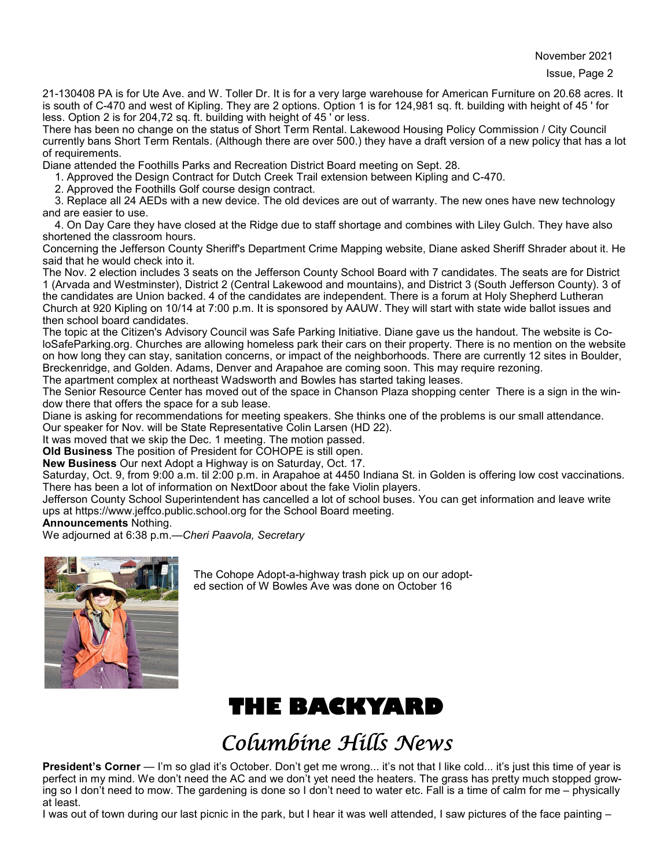November 2021

21-130408 PA is for Ute Ave. and W. Toller Dr. It is for a very large warehouse for American Furniture on 20.68 acres. It is south of C-470 and west of Kipling. They are 2 options. Option 1 is for 124,981 sq. ft. building with height of 45 ' for less. Option 2 is for 204,72 sq. ft. building with height of 45 ' or less.

There has been no change on the status of Short Term Rental. Lakewood Housing Policy Commission / City Council currently bans Short Term Rentals. (Although there are over 500.) they have a draft version of a new policy that has a lot of requirements.

Diane attended the Foothills Parks and Recreation District Board meeting on Sept. 28.

1. Approved the Design Contract for Dutch Creek Trail extension between Kipling and C-470.

2. Approved the Foothills Golf course design contract.

 3. Replace all 24 AEDs with a new device. The old devices are out of warranty. The new ones have new technology and are easier to use.

 4. On Day Care they have closed at the Ridge due to staff shortage and combines with Liley Gulch. They have also shortened the classroom hours.

Concerning the Jefferson County Sheriff's Department Crime Mapping website, Diane asked Sheriff Shrader about it. He said that he would check into it.

The Nov. 2 election includes 3 seats on the Jefferson County School Board with 7 candidates. The seats are for District 1 (Arvada and Westminster), District 2 (Central Lakewood and mountains), and District 3 (South Jefferson County). 3 of the candidates are Union backed. 4 of the candidates are independent. There is a forum at Holy Shepherd Lutheran Church at 920 Kipling on 10/14 at 7:00 p.m. It is sponsored by AAUW. They will start with state wide ballot issues and then school board candidates.

The topic at the Citizen's Advisory Council was Safe Parking Initiative. Diane gave us the handout. The website is ColoSafeParking.org. Churches are allowing homeless park their cars on their property. There is no mention on the website on how long they can stay, sanitation concerns, or impact of the neighborhoods. There are currently 12 sites in Boulder, Breckenridge, and Golden. Adams, Denver and Arapahoe are coming soon. This may require rezoning.

The apartment complex at northeast Wadsworth and Bowles has started taking leases.

The Senior Resource Center has moved out of the space in Chanson Plaza shopping center There is a sign in the window there that offers the space for a sub lease.

Diane is asking for recommendations for meeting speakers. She thinks one of the problems is our small attendance.

Our speaker for Nov. will be State Representative Colin Larsen (HD 22).

It was moved that we skip the Dec. 1 meeting. The motion passed.

**Old Business** The position of President for COHOPE is still open.

**New Business** Our next Adopt a Highway is on Saturday, Oct. 17.

Saturday, Oct. 9, from 9:00 a.m. til 2:00 p.m. in Arapahoe at 4450 Indiana St. in Golden is offering low cost vaccinations. There has been a lot of information on NextDoor about the fake Violin players.

Jefferson County School Superintendent has cancelled a lot of school buses. You can get information and leave write ups at https://www.jeffco.public.school.org for the School Board meeting.

**Announcements** Nothing.

We adjourned at 6:38 p.m.—*Cheri Paavola, Secretary*



The Cohope Adopt-a-highway trash pick up on our adopted section of W Bowles Ave was done on October 16

## **THE BACKYARD**

## *Columbine Hills News*

**President's Corner** — I'm so glad it's October. Don't get me wrong... it's not that I like cold... it's just this time of year is perfect in my mind. We don't need the AC and we don't yet need the heaters. The grass has pretty much stopped growing so I don't need to mow. The gardening is done so I don't need to water etc. Fall is a time of calm for me – physically at least.

I was out of town during our last picnic in the park, but I hear it was well attended, I saw pictures of the face painting –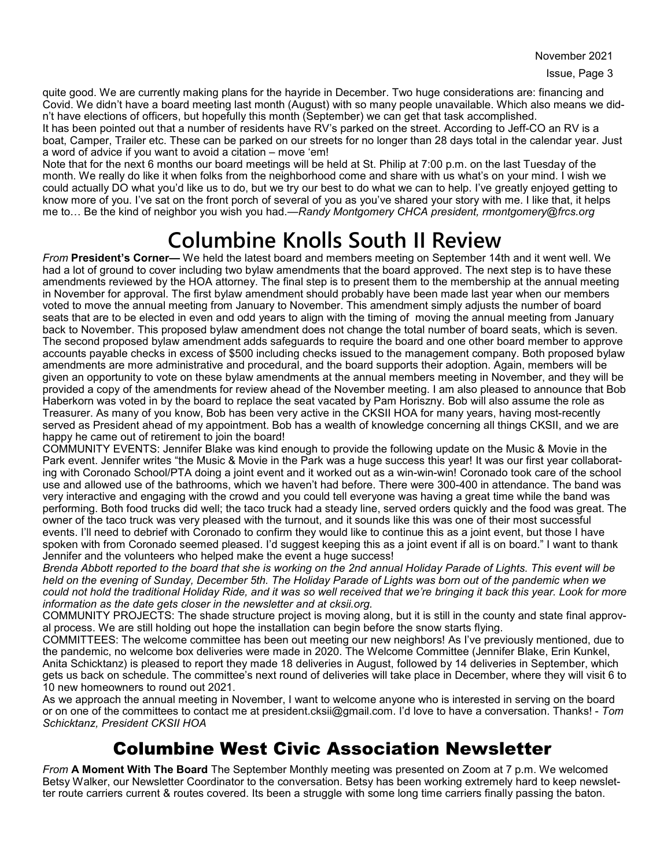November 2021

quite good. We are currently making plans for the hayride in December. Two huge considerations are: financing and Covid. We didn't have a board meeting last month (August) with so many people unavailable. Which also means we didn't have elections of officers, but hopefully this month (September) we can get that task accomplished.

It has been pointed out that a number of residents have RV's parked on the street. According to Jeff-CO an RV is a boat, Camper, Trailer etc. These can be parked on our streets for no longer than 28 days total in the calendar year. Just a word of advice if you want to avoid a citation – move 'em!

Note that for the next 6 months our board meetings will be held at St. Philip at 7:00 p.m. on the last Tuesday of the month. We really do like it when folks from the neighborhood come and share with us what's on your mind. I wish we could actually DO what you'd like us to do, but we try our best to do what we can to help. I've greatly enjoyed getting to know more of you. I've sat on the front porch of several of you as you've shared your story with me. I like that, it helps me to… Be the kind of neighbor you wish you had.—*Randy Montgomery CHCA president, rmontgomery@frcs.org* 

# **Columbine Knolls South II Review**

*From* **President's Corner—** We held the latest board and members meeting on September 14th and it went well. We had a lot of ground to cover including two bylaw amendments that the board approved. The next step is to have these amendments reviewed by the HOA attorney. The final step is to present them to the membership at the annual meeting in November for approval. The first bylaw amendment should probably have been made last year when our members voted to move the annual meeting from January to November. This amendment simply adjusts the number of board seats that are to be elected in even and odd years to align with the timing of moving the annual meeting from January back to November. This proposed bylaw amendment does not change the total number of board seats, which is seven. The second proposed bylaw amendment adds safeguards to require the board and one other board member to approve accounts payable checks in excess of \$500 including checks issued to the management company. Both proposed bylaw amendments are more administrative and procedural, and the board supports their adoption. Again, members will be given an opportunity to vote on these bylaw amendments at the annual members meeting in November, and they will be provided a copy of the amendments for review ahead of the November meeting. I am also pleased to announce that Bob Haberkorn was voted in by the board to replace the seat vacated by Pam Horiszny. Bob will also assume the role as Treasurer. As many of you know, Bob has been very active in the CKSII HOA for many years, having most-recently served as President ahead of my appointment. Bob has a wealth of knowledge concerning all things CKSII, and we are happy he came out of retirement to join the board!

COMMUNITY EVENTS: Jennifer Blake was kind enough to provide the following update on the Music & Movie in the Park event. Jennifer writes "the Music & Movie in the Park was a huge success this year! It was our first year collaborating with Coronado School/PTA doing a joint event and it worked out as a win-win-win! Coronado took care of the school use and allowed use of the bathrooms, which we haven't had before. There were 300-400 in attendance. The band was very interactive and engaging with the crowd and you could tell everyone was having a great time while the band was performing. Both food trucks did well; the taco truck had a steady line, served orders quickly and the food was great. The owner of the taco truck was very pleased with the turnout, and it sounds like this was one of their most successful events. I'll need to debrief with Coronado to confirm they would like to continue this as a joint event, but those I have spoken with from Coronado seemed pleased. I'd suggest keeping this as a joint event if all is on board." I want to thank Jennifer and the volunteers who helped make the event a huge success!

*Brenda Abbott reported to the board that she is working on the 2nd annual Holiday Parade of Lights. This event will be held on the evening of Sunday, December 5th. The Holiday Parade of Lights was born out of the pandemic when we could not hold the traditional Holiday Ride, and it was so well received that we're bringing it back this year. Look for more information as the date gets closer in the newsletter and at cksii.org.*

COMMUNITY PROJECTS: The shade structure project is moving along, but it is still in the county and state final approval process. We are still holding out hope the installation can begin before the snow starts flying.

COMMITTEES: The welcome committee has been out meeting our new neighbors! As I've previously mentioned, due to the pandemic, no welcome box deliveries were made in 2020. The Welcome Committee (Jennifer Blake, Erin Kunkel, Anita Schicktanz) is pleased to report they made 18 deliveries in August, followed by 14 deliveries in September, which gets us back on schedule. The committee's next round of deliveries will take place in December, where they will visit 6 to 10 new homeowners to round out 2021.

As we approach the annual meeting in November, I want to welcome anyone who is interested in serving on the board or on one of the committees to contact me at president.cksii@gmail.com. I'd love to have a conversation. Thanks! - *Tom Schicktanz, President CKSII HOA*

### Columbine West Civic Association Newsletter

*From* **A Moment With The Board** The September Monthly meeting was presented on Zoom at 7 p.m. We welcomed Betsy Walker, our Newsletter Coordinator to the conversation. Betsy has been working extremely hard to keep newsletter route carriers current & routes covered. Its been a struggle with some long time carriers finally passing the baton.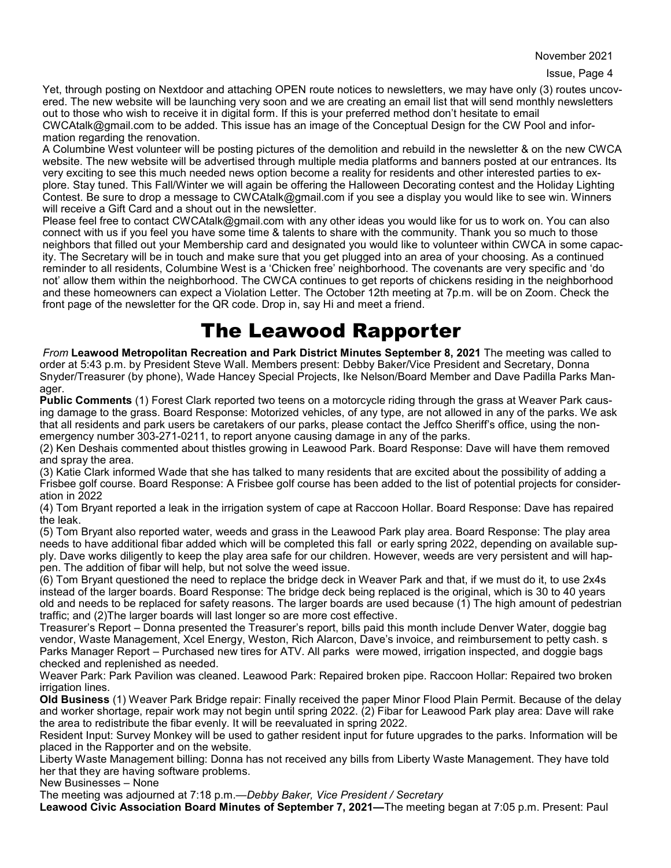November 2021

Yet, through posting on Nextdoor and attaching OPEN route notices to newsletters, we may have only (3) routes uncovered. The new website will be launching very soon and we are creating an email list that will send monthly newsletters out to those who wish to receive it in digital form. If this is your preferred method don't hesitate to email CWCAtalk@gmail.com to be added. This issue has an image of the Conceptual Design for the CW Pool and information regarding the renovation.

A Columbine West volunteer will be posting pictures of the demolition and rebuild in the newsletter & on the new CWCA website. The new website will be advertised through multiple media platforms and banners posted at our entrances. Its very exciting to see this much needed news option become a reality for residents and other interested parties to explore. Stay tuned. This Fall/Winter we will again be offering the Halloween Decorating contest and the Holiday Lighting Contest. Be sure to drop a message to CWCAtalk@gmail.com if you see a display you would like to see win. Winners will receive a Gift Card and a shout out in the newsletter.

Please feel free to contact CWCAtalk@gmail.com with any other ideas you would like for us to work on. You can also connect with us if you feel you have some time & talents to share with the community. Thank you so much to those neighbors that filled out your Membership card and designated you would like to volunteer within CWCA in some capacity. The Secretary will be in touch and make sure that you get plugged into an area of your choosing. As a continued reminder to all residents, Columbine West is a 'Chicken free' neighborhood. The covenants are very specific and 'do not' allow them within the neighborhood. The CWCA continues to get reports of chickens residing in the neighborhood and these homeowners can expect a Violation Letter. The October 12th meeting at 7p.m. will be on Zoom. Check the front page of the newsletter for the QR code. Drop in, say Hi and meet a friend.

### The Leawood Rapporter

*From* **Leawood Metropolitan Recreation and Park District Minutes September 8, 2021** The meeting was called to order at 5:43 p.m. by President Steve Wall. Members present: Debby Baker/Vice President and Secretary, Donna Snyder/Treasurer (by phone), Wade Hancey Special Projects, Ike Nelson/Board Member and Dave Padilla Parks Manager.

**Public Comments** (1) Forest Clark reported two teens on a motorcycle riding through the grass at Weaver Park causing damage to the grass. Board Response: Motorized vehicles, of any type, are not allowed in any of the parks. We ask that all residents and park users be caretakers of our parks, please contact the Jeffco Sheriff's office, using the nonemergency number 303-271-0211, to report anyone causing damage in any of the parks.

(2) Ken Deshais commented about thistles growing in Leawood Park. Board Response: Dave will have them removed and spray the area.

(3) Katie Clark informed Wade that she has talked to many residents that are excited about the possibility of adding a Frisbee golf course. Board Response: A Frisbee golf course has been added to the list of potential projects for consideration in 2022

(4) Tom Bryant reported a leak in the irrigation system of cape at Raccoon Hollar. Board Response: Dave has repaired the leak.

(5) Tom Bryant also reported water, weeds and grass in the Leawood Park play area. Board Response: The play area needs to have additional fibar added which will be completed this fall or early spring 2022, depending on available supply. Dave works diligently to keep the play area safe for our children. However, weeds are very persistent and will happen. The addition of fibar will help, but not solve the weed issue.

(6) Tom Bryant questioned the need to replace the bridge deck in Weaver Park and that, if we must do it, to use 2x4s instead of the larger boards. Board Response: The bridge deck being replaced is the original, which is 30 to 40 years old and needs to be replaced for safety reasons. The larger boards are used because (1) The high amount of pedestrian traffic; and (2)The larger boards will last longer so are more cost effective.

Treasurer's Report – Donna presented the Treasurer's report, bills paid this month include Denver Water, doggie bag vendor, Waste Management, Xcel Energy, Weston, Rich Alarcon, Dave's invoice, and reimbursement to petty cash. s Parks Manager Report – Purchased new tires for ATV. All parks were mowed, irrigation inspected, and doggie bags checked and replenished as needed.

Weaver Park: Park Pavilion was cleaned. Leawood Park: Repaired broken pipe. Raccoon Hollar: Repaired two broken irrigation lines.

**Old Business** (1) Weaver Park Bridge repair: Finally received the paper Minor Flood Plain Permit. Because of the delay and worker shortage, repair work may not begin until spring 2022. (2) Fibar for Leawood Park play area: Dave will rake the area to redistribute the fibar evenly. It will be reevaluated in spring 2022.

Resident Input: Survey Monkey will be used to gather resident input for future upgrades to the parks. Information will be placed in the Rapporter and on the website.

Liberty Waste Management billing: Donna has not received any bills from Liberty Waste Management. They have told her that they are having software problems.

New Businesses – None

The meeting was adjourned at 7:18 p.m.*—Debby Baker, Vice President / Secretary*

**Leawood Civic Association Board Minutes of September 7, 2021—**The meeting began at 7:05 p.m. Present: Paul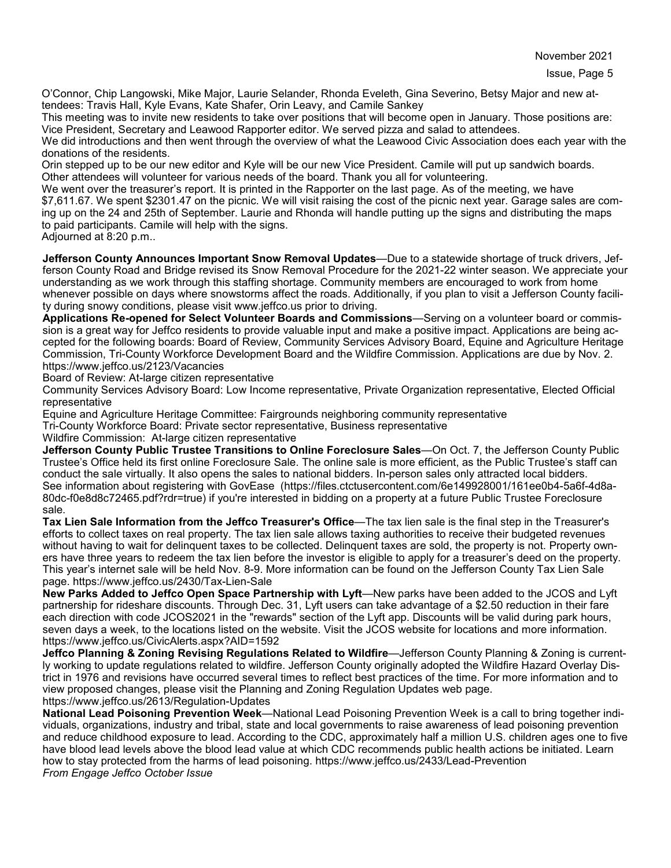O'Connor, Chip Langowski, Mike Major, Laurie Selander, Rhonda Eveleth, Gina Severino, Betsy Major and new attendees: Travis Hall, Kyle Evans, Kate Shafer, Orin Leavy, and Camile Sankey

This meeting was to invite new residents to take over positions that will become open in January. Those positions are: Vice President, Secretary and Leawood Rapporter editor. We served pizza and salad to attendees.

We did introductions and then went through the overview of what the Leawood Civic Association does each year with the donations of the residents.

Orin stepped up to be our new editor and Kyle will be our new Vice President. Camile will put up sandwich boards. Other attendees will volunteer for various needs of the board. Thank you all for volunteering.

We went over the treasurer's report. It is printed in the Rapporter on the last page. As of the meeting, we have \$7,611.67. We spent \$2301.47 on the picnic. We will visit raising the cost of the picnic next year. Garage sales are coming up on the 24 and 25th of September. Laurie and Rhonda will handle putting up the signs and distributing the maps to paid participants. Camile will help with the signs.

Adjourned at 8:20 p.m..

**Jefferson County Announces Important Snow Removal Updates**—Due to a statewide shortage of truck drivers, Jefferson County Road and Bridge revised its Snow Removal Procedure for the 2021-22 winter season. We appreciate your understanding as we work through this staffing shortage. Community members are encouraged to work from home whenever possible on days where snowstorms affect the roads. Additionally, if you plan to visit a Jefferson County facility during snowy conditions, please visit www.jeffco.us prior to driving.

**Applications Re-opened for Select Volunteer Boards and Commissions**—Serving on a volunteer board or commission is a great way for Jeffco residents to provide valuable input and make a positive impact. Applications are being accepted for the following boards: Board of Review, Community Services Advisory Board, Equine and Agriculture Heritage Commission, Tri-County Workforce Development Board and the Wildfire Commission. Applications are due by Nov. 2. https://www.jeffco.us/2123/Vacancies

Board of Review: At-large citizen representative

Community Services Advisory Board: Low Income representative, Private Organization representative, Elected Official representative

Equine and Agriculture Heritage Committee: Fairgrounds neighboring community representative

Tri-County Workforce Board: Private sector representative, Business representative

Wildfire Commission: At-large citizen representative

**Jefferson County Public Trustee Transitions to Online Foreclosure Sales**—On Oct. 7, the Jefferson County Public Trustee's Office held its first online Foreclosure Sale. The online sale is more efficient, as the Public Trustee's staff can conduct the sale virtually. It also opens the sales to national bidders. In-person sales only attracted local bidders. See information about registering with GovEase (https://files.ctctusercontent.com/6e149928001/161ee0b4-5a6f-4d8a-80dc-f0e8d8c72465.pdf?rdr=true) if you're interested in bidding on a property at a future Public Trustee Foreclosure sale.

**Tax Lien Sale Information from the Jeffco Treasurer's Office**—The tax lien sale is the final step in the Treasurer's efforts to collect taxes on real property. The tax lien sale allows taxing authorities to receive their budgeted revenues without having to wait for delinquent taxes to be collected. Delinquent taxes are sold, the property is not. Property owners have three years to redeem the tax lien before the investor is eligible to apply for a treasurer's deed on the property. This year's internet sale will be held Nov. 8-9. More information can be found on the Jefferson County Tax Lien Sale page. https://www.jeffco.us/2430/Tax-Lien-Sale

**New Parks Added to Jeffco Open Space Partnership with Lyft**—New parks have been added to the JCOS and Lyft partnership for rideshare discounts. Through Dec. 31, Lyft users can take advantage of a \$2.50 reduction in their fare each direction with code JCOS2021 in the "rewards" section of the Lyft app. Discounts will be valid during park hours, seven days a week, to the locations listed on the website. Visit the JCOS website for locations and more information. https://www.jeffco.us/CivicAlerts.aspx?AID=1592

**Jeffco Planning & Zoning Revising Regulations Related to Wildfire**—Jefferson County Planning & Zoning is currently working to update regulations related to wildfire. Jefferson County originally adopted the Wildfire Hazard Overlay District in 1976 and revisions have occurred several times to reflect best practices of the time. For more information and to view proposed changes, please visit the Planning and Zoning Regulation Updates web page. https://www.jeffco.us/2613/Regulation-Updates

**National Lead Poisoning Prevention Week**—National Lead Poisoning Prevention Week is a call to bring together individuals, organizations, industry and tribal, state and local governments to raise awareness of lead poisoning prevention and reduce childhood exposure to lead. According to the CDC, approximately half a million U.S. children ages one to five have blood lead levels above the blood lead value at which CDC recommends public health actions be initiated. Learn how to stay protected from the harms of lead poisoning. https://www.jeffco.us/2433/Lead-Prevention *From Engage Jeffco October Issue*